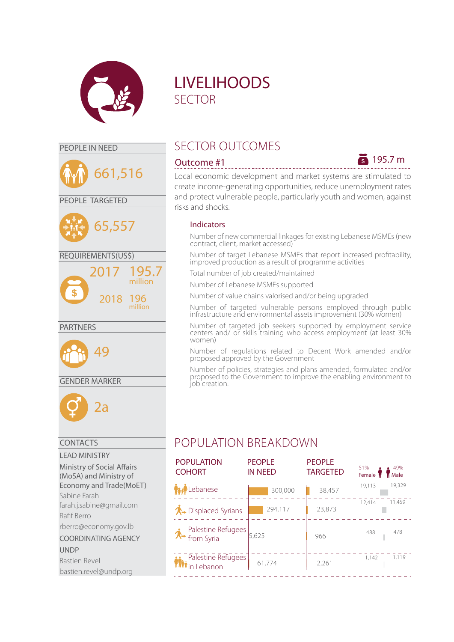





### GENDER MARKER



### CONTACTS

LEAD MINISTRY Ministry of Social Affairs (MoSA) and Ministry of Economy and Trade(MoET) Sabine Farah farah.j.sabine@gmail.com Rafif Berro rberro@economy.gov.lb COORDINATING AGENCY UNDP Bastien Revel bastien.revel@undp.org

# LIVELIHOODS SECTOR

# PEOPLE IN NEED SECTOR OUTCOMES



Local economic development and market systems are stimulated to create income-generating opportunities, reduce unemployment rates and protect vulnerable people, particularly youth and women, against risks and shocks.

### Indicators

Number of new commercial linkages for existing Lebanese MSMEs (new contract, client, market accessed)

Number of target Lebanese MSMEs that report increased profitability, improved production as a result of programme activities

Total number of job created/maintained

Number of Lebanese MSMEs supported

Number of value chains valorised and/or being upgraded

Number of targeted vulnerable persons employed through public infrastructure and environmental assets improvement (30% women)

Number of targeted job seekers supported by employment service centers and/ or skills training who access employment (at least 30% women)

Number of regulations related to Decent Work amended and/or proposed approved by the Government

Number of policies, strategies and plans amended, formulated and/or proposed to the Government to improve the enabling environment to job creation.

# POPULATION BREAKDOWN

| <b>POPULATION</b><br><b>COHORT</b> | <b>PEOPLE</b><br><b>IN NEED</b> | <b>PEOPLE</b><br><b>TARGETED</b> | 51%<br>Female T | 49%<br>Male |
|------------------------------------|---------------------------------|----------------------------------|-----------------|-------------|
| Lebanese                           | 300,000                         | 38,457                           | 19,113          | 19,329      |
| <b>∧</b> → Displaced Syrians       | 294.117                         | 23,873                           | 12.414          | 11.459      |
| <b>↑</b> Palestine Refugees        | 5.625                           | 966                              | 488             | 478         |
| <b>Palestine Refugees</b>          | 61.774                          | 2,261                            | 1,142           | 1.119       |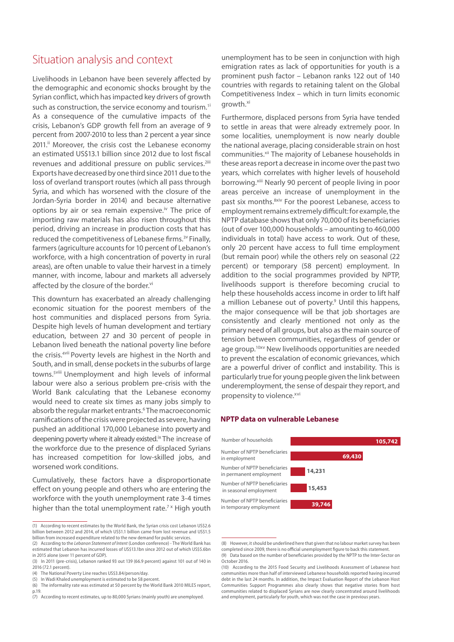# Situation analysis and context

Livelihoods in Lebanon have been severely affected by the demographic and economic shocks brought by the Syrian conflict, which has impacted key drivers of growth such as construction, the service economy and tourism.<sup>1i</sup> As a consequence of the cumulative impacts of the crisis, Lebanon's GDP growth fell from an average of 9 percent from 2007-2010 to less than 2 percent a year since 2011.<sup>ii</sup> Moreover, the crisis cost the Lebanese economy an estimated US\$13.1 billion since 2012 due to lost fiscal revenues and additional pressure on public services.<sup>2iii</sup> Exports have decreased by one third since 2011 due to the loss of overland transport routes (which all pass through Syria, and which has worsened with the closure of the Jordan-Syria border in 2014) and because alternative options by air or sea remain expensive.<sup>iv</sup> The price of importing raw materials has also risen throughout this period, driving an increase in production costs that has reduced the competitiveness of Lebanese firms.<sup>3v</sup> Finally, farmers (agriculture accounts for 10 percent of Lebanon's workforce, with a high concentration of poverty in rural areas), are often unable to value their harvest in a timely manner, with income, labour and markets all adversely affected by the closure of the border.<sup>vi</sup>

This downturn has exacerbated an already challenging economic situation for the poorest members of the host communities and displaced persons from Syria. Despite high levels of human development and tertiary education, between 27 and 30 percent of people in Lebanon lived beneath the national poverty line before the crisis.<sup>4vii</sup> Poverty levels are highest in the North and South, and in small, dense pockets in the suburbs of large towns.<sup>5viii</sup> Unemployment and high levels of informal labour were also a serious problem pre-crisis with the World Bank calculating that the Lebanese economy would need to create six times as many jobs simply to absorb the regular market entrants.<sup>6</sup> The macroeconomic ramifications of the crisis were projected as severe, having pushed an additional 170,000 Lebanese into poverty and deepening poverty where it already existed.<sup>ix</sup> The increase of the workforce due to the presence of displaced Syrians has increased competition for low-skilled jobs, and worsened work conditions.

Cumulatively, these factors have a disproportionate effect on young people and others who are entering the workforce with the youth unemployment rate 3-4 times higher than the total unemployment rate.<sup>7x</sup> High youth

unemployment has to be seen in conjunction with high emigration rates as lack of opportunities for youth is a prominent push factor – Lebanon ranks 122 out of 140 countries with regards to retaining talent on the Global Competitiveness Index – which in turn limits economic growth.<sup>xi</sup>

Furthermore, displaced persons from Syria have tended to settle in areas that were already extremely poor. In some localities, unemployment is now nearly double the national average, placing considerable strain on host communities.<sup>xii</sup> The majority of Lebanese households in these areas report a decrease in income over the past two years, which correlates with higher levels of household borrowing.<sup>xiii</sup> Nearly 90 percent of people living in poor areas perceive an increase of unemployment in the past six months.<sup>8xiv</sup> For the poorest Lebanese, access to employment remains extremely difficult: for example, the NPTP database shows that only 70,000 of its beneficiaries (out of over 100,000 households – amounting to 460,000 individuals in total) have access to work. Out of these, only 20 percent have access to full time employment (but remain poor) while the others rely on seasonal (22 percent) or temporary (58 percent) employment. In addition to the social programmes provided by NPTP, livelihoods support is therefore becoming crucial to help these households access income in order to lift half a million Lebanese out of poverty.<sup>9</sup> Until this happens, the major consequence will be that job shortages are consistently and clearly mentioned not only as the primary need of all groups, but also as the main source of tension between communities, regardless of gender or age group.<sup>10xv</sup> New livelihoods opportunities are needed to prevent the escalation of economic grievances, which are a powerful driver of conflict and instability. This is particularly true for young people given the link between underemployment, the sense of despair they report, and propensity to violence.<sup>xvi</sup>

#### **NPTP data on vulnerable Lebanese**



<sup>(8)</sup> However, it should be underlined here that given that no labour market survey has been completed since 2009, there is no official unemployment figure to back this statement. (9) Data based on the number of beneficiaries provided by the NPTP to the Inter-Sector on October 2016.

<sup>(1)</sup> According to recent estimates by the World Bank, the Syrian crisis cost Lebanon US\$2.6 billion between 2012 and 2014, of which US\$1.1 billion came from lost revenue and US\$1.5 billion from increased expenditure related to the new demand for public services.

<sup>(2)</sup> According to the *Lebanon Statement of Intent* (London conference) - The World Bank has estimated that Lebanon has incurred losses of US\$13.1bn since 2012 out of which US\$5.6bn in 2015 alone (over 11 percent of GDP).

<sup>(3)</sup> In 2011 (pre-crisis), Lebanon ranked 93 out 139 (66.9 percent) against 101 out of 140 in 2016 (72.1 percent).

<sup>(4)</sup> The National Poverty Line reaches US\$3.84/person/day.

<sup>(5)</sup> In Wadi Khaled unemployment is estimated to be 58 percent.

<sup>(6)</sup> The informality rate was estimated at 50 percent by the World Bank 2010 MILES report, p.19.

<sup>(7)</sup> According to recent estimates, up to 80,000 Syrians (mainly youth) are unemployed.

<sup>(10)</sup> According to the 2015 Food Security and Livelihoods Assessment of Lebanese host communities more than half of interviewed Lebanese households reported having incurred debt in the last 24 months. In addition, the Impact Evaluation Report of the Lebanon Host Communities Support Programmes also clearly shows that negative stories from host communities related to displaced Syrians are now clearly concentrated around livelihoods and employment, particularly for youth, which was not the case in previous years.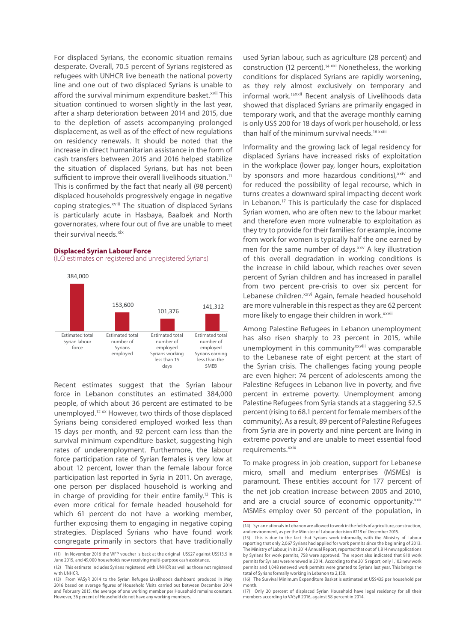For displaced Syrians, the economic situation remains desperate. Overall, 70.5 percent of Syrians registered as refugees with UNHCR live beneath the national poverty line and one out of two displaced Syrians is unable to afford the survival minimum expenditure basket.<sup>xvii</sup> This situation continued to worsen slightly in the last year, after a sharp deterioration between 2014 and 2015, due to the depletion of assets accompanying prolonged displacement, as well as of the effect of new regulations on residency renewals. It should be noted that the increase in direct humanitarian assistance in the form of cash transfers between 2015 and 2016 helped stabilize the situation of displaced Syrians, but has not been sufficient to improve their overall livelihoods situation.<sup>11</sup> This is confirmed by the fact that nearly all (98 percent) displaced households progressively engage in negative coping strategies.<sup>xviii</sup> The situation of displaced Syrians is particularly acute in Hasbaya, Baalbek and North governorates, where four out of five are unable to meet their survival needs.<sup>xix</sup>

#### **Displaced Syrian Labour Force**

(ILO estimates on registered and unregistered Syrians)



Recent estimates suggest that the Syrian labour force in Lebanon constitutes an estimated 384,000 people, of which about 36 percent are estimated to be unemployed.12 xx However, two thirds of those displaced Syrians being considered employed worked less than 15 days per month, and 92 percent earn less than the survival minimum expenditure basket, suggesting high rates of underemployment. Furthermore, the labour force participation rate of Syrian females is very low at about 12 percent, lower than the female labour force participation last reported in Syria in 2011. On average, one person per displaced household is working and in charge of providing for their entire family.13 This is even more critical for female headed household for which 61 percent do not have a working member, further exposing them to engaging in negative coping strategies. Displaced Syrians who have found work congregate primarily in sectors that have traditionally

used Syrian labour, such as agriculture (28 percent) and construction (12 percent).<sup>14 xxi</sup> Nonetheless, the working conditions for displaced Syrians are rapidly worsening, as they rely almost exclusively on temporary and informal work.<sup>15xxii</sup> Recent analysis of Livelihoods data showed that displaced Syrians are primarily engaged in temporary work, and that the average monthly earning is only US\$ 200 for 18 days of work per household, or less than half of the minimum survival needs.<sup>16 xxiii</sup>

Informality and the growing lack of legal residency for displaced Syrians have increased risks of exploitation in the workplace (lower pay, longer hours, exploitation by sponsors and more hazardous conditions), xxiv and for reduced the possibility of legal recourse, which in turns creates a downward spiral impacting decent work in Lebanon.17 This is particularly the case for displaced Syrian women, who are often new to the labour market and therefore even more vulnerable to exploitation as they try to provide for their families: for example, income from work for women is typically half the one earned by men for the same number of days.<sup>xxv</sup> A key illustration of this overall degradation in working conditions is the increase in child labour, which reaches over seven percent of Syrian children and has increased in parallel from two percent pre-crisis to over six percent for Lebanese children.<sup>xxvi</sup> Again, female headed household are more vulnerable in this respect as they are 62 percent more likely to engage their children in work.<sup>xxvii</sup>

Among Palestine Refugees in Lebanon unemployment has also risen sharply to 23 percent in 2015, while unemployment in this community<sup>xxviii</sup> was comparable to the Lebanese rate of eight percent at the start of the Syrian crisis. The challenges facing young people are even higher: 74 percent of adolescents among the Palestine Refugees in Lebanon live in poverty, and five percent in extreme poverty. Unemployment among Palestine Refugees from Syria stands at a staggering 52.5 percent (rising to 68.1 percent for female members of the community). As a result, 89 percent of Palestine Refugees from Syria are in poverty and nine percent are living in extreme poverty and are unable to meet essential food requirements.<sup>xxix</sup>

To make progress in job creation, support for Lebanese micro, small and medium enterprises (MSMEs) is paramount. These entities account for 177 percent of the net job creation increase between 2005 and 2010, and are a crucial source of economic opportunity.xxx MSMEs employ over 50 percent of the population, in

<sup>(11)</sup> In November 2016 the WFP voucher is back at the original US\$27 against US\$13.5 in June 2015, and 49,000 households now receiving multi-purpose cash assistance.

<sup>(12)</sup> This estimate includes Syrians registered with UNHCR as well as those not registered with UNHCR.

<sup>(13)</sup> From VASyR 2014 to the Syrian Refugee Livelihoods dashboard produced in May 2016 based on average figures of Household Visits carried out between December 2014 and February 2015, the average of one working member per Household remains constant. However, 36 percent of Household do not have any working members.

<sup>(14)</sup> Syrian nationals in Lebanon are allowed to work in the fields of agriculture, construction, and environment, as per the Minister of Labour decision #218 of December 2015.

<sup>(15)</sup> This is due to the fact that Syrians work informally, with the Ministry of Labour reporting that only 2,067 Syrians had applied for work permits since the beginning of 2013. The Ministry of Labour, in its 2014 Annual Report, reported that out of 1,814 new applications by Syrians for work permits, 758 were approved. The report also indicated that 810 work permits for Syrians were renewed in 2014. According to the 2015 report, only 1,102 new work permits and 1,048 renewed work permits were granted to Syrians last year. This brings the total of Syrians formally working in Lebanon to 2,150.

<sup>(16)</sup> The Survival Minimum Expenditure Basket is estimated at US\$435 per household per month.

<sup>(17)</sup> Only 20 percent of displaced Syrian Household have legal residency for all their members according to VASyR 2016, against 58 percent in 2014.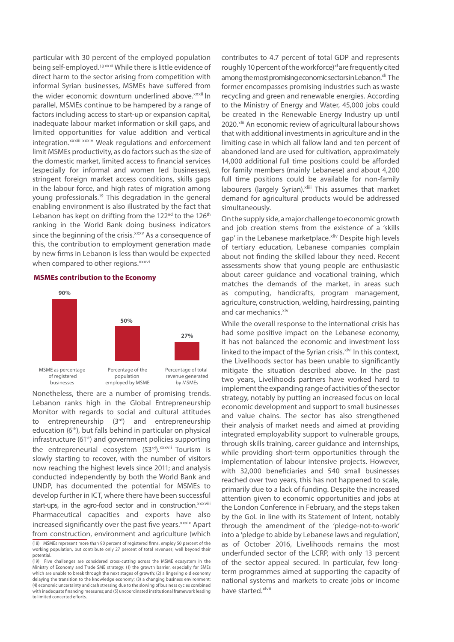particular with 30 percent of the employed population being self-employed.18 xxxi While there is little evidence of direct harm to the sector arising from competition with informal Syrian businesses, MSMEs have suffered from the wider economic downturn underlined above.<sup>xxxii</sup> In parallel, MSMEs continue to be hampered by a range of factors including access to start-up or expansion capital, inadequate labour market information or skill gaps, and limited opportunities for value addition and vertical integration.<sup>xxxiii xxxiv</sup> Weak regulations and enforcement limit MSMEs productivity, as do factors such as the size of the domestic market, limited access to financial services (especially for informal and women led businesses), stringent foreign market access conditions, skills gaps in the labour force, and high rates of migration among young professionals.19 This degradation in the general enabling environment is also illustrated by the fact that Lebanon has kept on drifting from the  $122<sup>nd</sup>$  to the  $126<sup>th</sup>$ ranking in the World Bank doing business indicators since the beginning of the crisis.<sup>xxxv</sup> As a consequence of this, the contribution to employment generation made by new firms in Lebanon is less than would be expected when compared to other regions.<sup>xxxvi</sup>

#### **MSMEs contribution to the Economy**



Nonetheless, there are a number of promising trends. Lebanon ranks high in the Global Entrepreneurship Monitor with regards to social and cultural attitudes to entrepreneurship (3rd) and entrepreneurship education (6th), but falls behind in particular on physical infrastructure (61<sup>st</sup>) and government policies supporting the entrepreneurial ecosystem (53rd).xxxvii Tourism is slowly starting to recover, with the number of visitors now reaching the highest levels since 2011; and analysis conducted independently by both the World Bank and UNDP, has documented the potential for MSMEs to develop further in ICT, where there have been successful start-ups, in the agro-food sector and in construction.<sup>xxxviii</sup> Pharmaceutical capacities and exports have also increased significantly over the past five years.<sup>xxxix</sup> Apart from construction, environment and agriculture (which

contributes to 4.7 percent of total GDP and represents roughly 10 percent of the workforce)<sup>xl</sup> are frequently cited among the most promising economic sectors in Lebanon.<sup>xli</sup> The former encompasses promising industries such as waste recycling and green and renewable energies. According to the Ministry of Energy and Water, 45,000 jobs could be created in the Renewable Energy Industry up until 2020.<sup>xlii</sup> An economic review of agricultural labour shows that with additional investments in agriculture and in the limiting case in which all fallow land and ten percent of abandoned land are used for cultivation, approximately 14,000 additional full time positions could be afforded for family members (mainly Lebanese) and about 4,200 full time positions could be available for non-family labourers (largely Syrian).xliii This assumes that market demand for agricultural products would be addressed simultaneously.

On the supply side, a major challenge to economic growth and job creation stems from the existence of a 'skills gap' in the Lebanese marketplace.<sup>xliv</sup> Despite high levels of tertiary education, Lebanese companies complain about not finding the skilled labour they need. Recent assessments show that young people are enthusiastic about career guidance and vocational training, which matches the demands of the market, in areas such as computing, handicrafts, program management, agriculture, construction, welding, hairdressing, painting and car mechanics.<sup>xlv</sup>

While the overall response to the international crisis has had some positive impact on the Lebanese economy, it has not balanced the economic and investment loss linked to the impact of the Syrian crisis. xlvi In this context, the Livelihoods sector has been unable to significantly mitigate the situation described above. In the past two years, Livelihoods partners have worked hard to implement the expanding range of activities of the sector strategy, notably by putting an increased focus on local economic development and support to small businesses and value chains. The sector has also strengthened their analysis of market needs and aimed at providing integrated employability support to vulnerable groups, through skills training, career guidance and internships, while providing short-term opportunities through the implementation of labour intensive projects. However, with 32,000 beneficiaries and 540 small businesses reached over two years, this has not happened to scale, primarily due to a lack of funding. Despite the increased attention given to economic opportunities and jobs at the London Conference in February, and the steps taken by the GoL in line with its Statement of Intent, notably through the amendment of the 'pledge-not-to-work' into a 'pledge to abide by Lebanese laws and regulation', as of October 2016, Livelihoods remains the most underfunded sector of the LCRP, with only 13 percent of the sector appeal secured. In particular, few longterm programmes aimed at supporting the capacity of national systems and markets to create jobs or income have started. xlvii

<sup>(18)</sup> MSMEs represent more than 90 percent of registered firms, employ 50 percent of the working population, but contribute only 27 percent of total revenues, well beyond their potential.

<sup>(19)</sup> Five challenges are considered cross-cutting across the MSME ecosystem in the Ministry of Economy and Trade SME strategy: (1) the growth barrier, especially for SMEs which are unable to break through the next stages of growth; (2) a lingering old economy delaying the transition to the knowledge economy; (3) a changing business environment; (4) economic uncertainty and cash stressing due to the slowing of business cycles combined with inadequate financing measures; and (5) uncoordinated institutional framework leading to limited concerted efforts.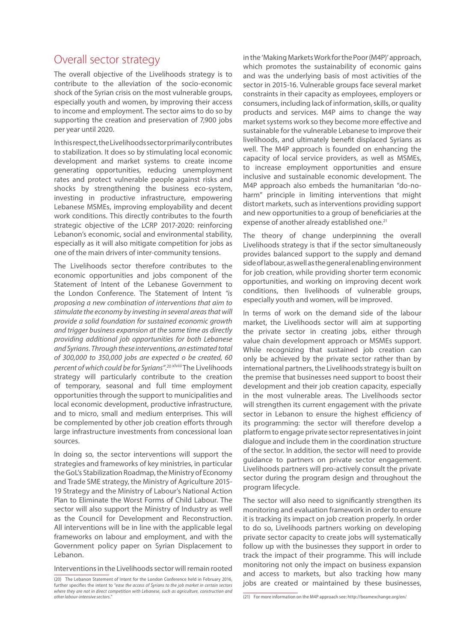# Overall sector strategy

The overall objective of the Livelihoods strategy is to contribute to the alleviation of the socio-economic shock of the Syrian crisis on the most vulnerable groups, especially youth and women, by improving their access to income and employment. The sector aims to do so by supporting the creation and preservation of 7,900 jobs per year until 2020.

In this respect, the Livelihoods sector primarily contributes to stabilization. It does so by stimulating local economic development and market systems to create income generating opportunities, reducing unemployment rates and protect vulnerable people against risks and shocks by strengthening the business eco-system, investing in productive infrastructure, empowering Lebanese MSMEs, improving employability and decent work conditions. This directly contributes to the fourth strategic objective of the LCRP 2017-2020: reinforcing Lebanon's economic, social and environmental stability, especially as it will also mitigate competition for jobs as one of the main drivers of inter-community tensions.

The Livelihoods sector therefore contributes to the economic opportunities and jobs component of the Statement of Intent of the Lebanese Government to the London Conference. The Statement of Intent *"is proposing a new combination of interventions that aim to stimulate the economy by investing in several areas that will provide a solid foundation for sustained economic growth and trigger business expansion at the same time as directly providing additional job opportunities for both Lebanese and Syrians. Through these interventions, an estimated total of 300,000 to 350,000 jobs are expected o be created, 60 percent of which could be for Syrians"*. 20 xlviii The Livelihoods strategy will particularly contribute to the creation of temporary, seasonal and full time employment opportunities through the support to municipalities and local economic development, productive infrastructure, and to micro, small and medium enterprises. This will be complemented by other job creation efforts through large infrastructure investments from concessional loan sources.

In doing so, the sector interventions will support the strategies and frameworks of key ministries, in particular the GoL's Stabilization Roadmap, the Ministry of Economy and Trade SME strategy, the Ministry of Agriculture 2015- 19 Strategy and the Ministry of Labour's National Action Plan to Eliminate the Worst Forms of Child Labour. The sector will also support the Ministry of Industry as well as the Council for Development and Reconstruction. All interventions will be in line with the applicable legal frameworks on labour and employment, and with the Government policy paper on Syrian Displacement to Lebanon.

#### Interventions in the Livelihoods sector will remain rooted

in the 'Making Markets Work for the Poor (M4P)' approach, which promotes the sustainability of economic gains and was the underlying basis of most activities of the sector in 2015-16. Vulnerable groups face several market constraints in their capacity as employees, employers or consumers, including lack of information, skills, or quality products and services. M4P aims to change the way market systems work so they become more effective and sustainable for the vulnerable Lebanese to improve their livelihoods, and ultimately benefit displaced Syrians as well. The M4P approach is founded on enhancing the capacity of local service providers, as well as MSMEs, to increase employment opportunities and ensure inclusive and sustainable economic development. The M4P approach also embeds the humanitarian "do-noharm" principle in limiting interventions that might distort markets, such as interventions providing support and new opportunities to a group of beneficiaries at the expense of another already established one.<sup>21</sup>

The theory of change underpinning the overall Livelihoods strategy is that if the sector simultaneously provides balanced support to the supply and demand side of labour, as well as the general enabling environment for job creation, while providing shorter term economic opportunities, and working on improving decent work conditions, then livelihoods of vulnerable groups, especially youth and women, will be improved.

In terms of work on the demand side of the labour market, the Livelihoods sector will aim at supporting the private sector in creating jobs, either through value chain development approach or MSMEs support. While recognizing that sustained job creation can only be achieved by the private sector rather than by international partners, the Livelihoods strategy is built on the premise that businesses need support to boost their development and their job creation capacity, especially in the most vulnerable areas. The Livelihoods sector will strengthen its current engagement with the private sector in Lebanon to ensure the highest efficiency of its programming: the sector will therefore develop a platform to engage private sector representatives in joint dialogue and include them in the coordination structure of the sector. In addition, the sector will need to provide guidance to partners on private sector engagement. Livelihoods partners will pro-actively consult the private sector during the program design and throughout the program lifecycle.

The sector will also need to significantly strengthen its monitoring and evaluation framework in order to ensure it is tracking its impact on job creation properly. In order to do so, Livelihoods partners working on developing private sector capacity to create jobs will systematically follow up with the businesses they support in order to track the impact of their programme. This will include monitoring not only the impact on business expansion and access to markets, but also tracking how many jobs are created or maintained by these businesses,

<sup>(20)</sup> The Lebanon Statement of Intent for the London Conference held in February 2016, further specifies the intent to "*ease the access of Syrians to the job market in certain sectors*  where they are not in direct competition with Lebanese, such as agriculture, construction and *other labour-intensive sectors.*"

<sup>(21)</sup> For more information on the M4P approach see: http://beamexchange.org/en/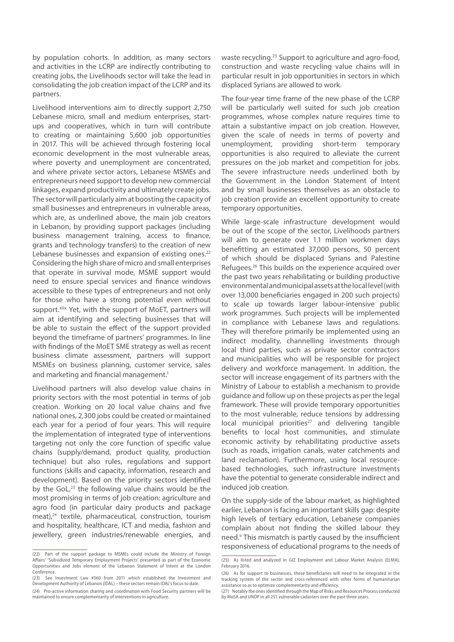by population cohorts. In addition, as many sectors and activities in the LCRP are indirectly contributing to creating jobs, the Livelihoods sector will take the lead in consolidating the job creation impact of the LCRP and its partners.

Livelihood interventions aim to directly support 2,750 Lebanese micro, small and medium enterprises, startups and cooperatives, which in turn will contribute to creating or maintaining 5,600 job opportunities in 2017. This will be achieved through fostering local economic development in the most vulnerable areas, where poverty and unemployment are concentrated, and where private sector actors, Lebanese MSMEs and entrepreneurs need support to develop new commercial linkages, expand productivity and ultimately create jobs. The sector will particularly aim at boosting the capacity of small businesses and entrepreneurs in vulnerable areas, which are, as underlined above, the main job creators in Lebanon, by providing support packages (including business management training, access to finance, grants and technology transfers) to the creation of new Lebanese businesses and expansion of existing ones.<sup>22</sup> Considering the high share of micro and small enterprises that operate in survival mode, MSME support would need to ensure special services and finance windows accessible to these types of entrepreneurs and not only for those who have a strong potential even without support.<sup>xlix</sup> Yet, with the support of MoET, partners will aim at identifying and selecting businesses that will be able to sustain the effect of the support provided beyond the timeframe of partners' programmes. In line with findings of the MoET SME strategy as well as recent business climate assessment, partners will support MSMEs on business planning, customer service, sales and marketing and financial management.<sup>1</sup>

Livelihood partners will also develop value chains in priority sectors with the most potential in terms of job creation. Working on 20 local value chains and five national ones, 2,300 jobs could be created or maintained each year for a period of four years. This will require the implementation of integrated type of interventions targeting not only the core function of specific value chains (supply/demand, product quality, production technique) but also rules, regulations and support functions (skills and capacity, information, research and development). Based on the priority sectors identified by the GoL,<sup>23</sup> the following value chains would be the most promising in terms of job creation: agriculture and agro food (in particular dairy products and package meat),<sup>24</sup> textile, pharmaceutical, construction, tourism and hospitality, healthcare, ICT and media, fashion and jewellery, green industries/renewable energies, and

waste recycling.25 Support to agriculture and agro-food, construction and waste recycling value chains will in particular result in job opportunities in sectors in which displaced Syrians are allowed to work.

The four-year time frame of the new phase of the LCRP will be particularly well suited for such job creation programmes, whose complex nature requires time to attain a substantive impact on job creation. However, given the scale of needs in terms of poverty and unemployment, providing short-term temporary opportunities is also required to alleviate the current pressures on the job market and competition for jobs. The severe infrastructure needs underlined both by the Government in the London Statement of Intent and by small businesses themselves as an obstacle to job creation provide an excellent opportunity to create temporary opportunities.

While large-scale infrastructure development would be out of the scope of the sector, Livelihoods partners will aim to generate over 1.1 million workmen days benefitting an estimated 37,000 persons, 50 percent of which should be displaced Syrians and Palestine Refugees.26 This builds on the experience acquired over the past two years rehabilitating or building productive environmental and municipal assets at the local level (with over 13,000 beneficiaries engaged in 200 such projects) to scale up towards larger labour-intensive public work programmes. Such projects will be implemented in compliance with Lebanese laws and regulations. They will therefore primarily be implemented using an indirect modality, channelling investments through local third parties, such as private sector contractors and municipalities who will be responsible for project delivery and workforce management. In addition, the sector will increase engagement of its partners with the Ministry of Labour to establish a mechanism to provide guidance and follow up on these projects as per the legal framework. These will provide temporary opportunities to the most vulnerable, reduce tensions by addressing local municipal priorities<sup>27</sup> and delivering tangible benefits to local host communities, and stimulate economic activity by rehabilitating productive assets (such as roads, irrigation canals, water catchments and land reclamation). Furthermore, using local resourcebased technologies, such infrastructure investments have the potential to generate considerable indirect and induced job creation.

On the supply-side of the labour market, as highlighted earlier, Lebanon is facing an important skills gap: despite high levels of tertiary education, Lebanese companies complain about not finding the skilled labour they need.<sup>If</sup> This mismatch is partly caused by the insufficient responsiveness of educational programs to the needs of

<sup>(22)</sup> Part of the support package to MSMEs could include the Ministry of Foreign Affairs' 'Subsidized Temporary Employment Projects' presented as part of the Economic Opportunities and Jobs element of the Lebanon Statement of Intent at the London Conference.

<sup>(23)</sup> See Investment Law #360 from 2011 which established the Investment and Development Authority of Lebanon (IDAL) – these sectors remain IDAL's focus to date.

<sup>(24)</sup> Pro-active information sharing and coordination with Food Security partners will be maintained to ensure complementarity of interventions in agriculture.

<sup>(25)</sup> As listed and analyzed in GIZ Employment and Labour Market Analysis (ELMA), February 2016.

<sup>(26)</sup> As for support to businesses, these beneficiaries will need to be integrated in the tracking system of the sector and cross-referenced with other forms of humanitarian assistance so as to optimize complementarity and efficiency.

<sup>(27)</sup> Notably the ones identified through the Map of Risks and Resources Process conducted by MoSA and UNDP in all 251 vulnerable cadasters over the past three years.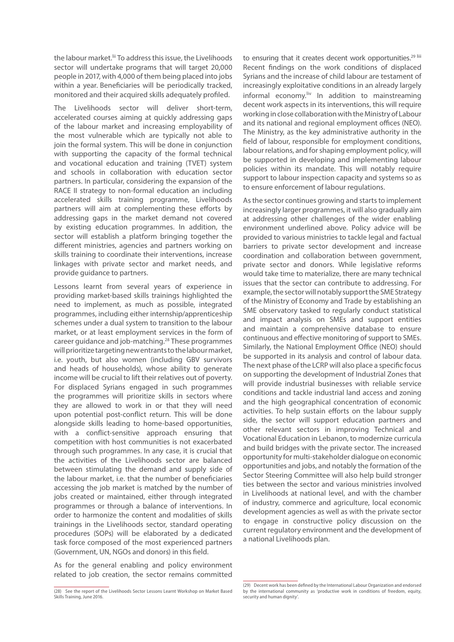the labour market.<sup>III</sup> To address this issue, the Livelihoods sector will undertake programs that will target 20,000 people in 2017, with 4,000 of them being placed into jobs within a year. Beneficiaries will be periodically tracked, monitored and their acquired skills adequately profiled.

The Livelihoods sector will deliver short-term, accelerated courses aiming at quickly addressing gaps of the labour market and increasing employability of the most vulnerable which are typically not able to join the formal system. This will be done in conjunction with supporting the capacity of the formal technical and vocational education and training (TVET) system and schools in collaboration with education sector partners. In particular, considering the expansion of the RACE II strategy to non-formal education an including accelerated skills training programme, Livelihoods partners will aim at complementing these efforts by addressing gaps in the market demand not covered by existing education programmes. In addition, the sector will establish a platform bringing together the different ministries, agencies and partners working on skills training to coordinate their interventions, increase linkages with private sector and market needs, and provide guidance to partners.

Lessons learnt from several years of experience in providing market-based skills trainings highlighted the need to implement, as much as possible, integrated programmes, including either internship/apprenticeship schemes under a dual system to transition to the labour market, or at least employment services in the form of career guidance and job-matching.28 These programmes will prioritize targeting new entrants to the labour market, i.e. youth, but also women (including GBV survivors and heads of households), whose ability to generate income will be crucial to lift their relatives out of poverty. For displaced Syrians engaged in such programmes the programmes will prioritize skills in sectors where they are allowed to work in or that they will need upon potential post-conflict return. This will be done alongside skills leading to home-based opportunities, with a conflict-sensitive approach ensuring that competition with host communities is not exacerbated through such programmes. In any case, it is crucial that the activities of the Livelihoods sector are balanced between stimulating the demand and supply side of the labour market, i.e. that the number of beneficiaries accessing the job market is matched by the number of jobs created or maintained, either through integrated programmes or through a balance of interventions. In order to harmonize the content and modalities of skills trainings in the Livelihoods sector, standard operating procedures (SOPs) will be elaborated by a dedicated task force composed of the most experienced partners (Government, UN, NGOs and donors) in this field.

As for the general enabling and policy environment related to job creation, the sector remains committed

to ensuring that it creates decent work opportunities.<sup>29 liii</sup> Recent findings on the work conditions of displaced Syrians and the increase of child labour are testament of increasingly exploitative conditions in an already largely informal economy.<sup>liv</sup> In addition to mainstreaming decent work aspects in its interventions, this will require working in close collaboration with the Ministry of Labour and its national and regional employment offices (NEO). The Ministry, as the key administrative authority in the field of labour, responsible for employment conditions, labour relations, and for shaping employment policy, will be supported in developing and implementing labour policies within its mandate. This will notably require support to labour inspection capacity and systems so as to ensure enforcement of labour regulations.

As the sector continues growing and starts to implement increasingly larger programmes, it will also gradually aim at addressing other challenges of the wider enabling environment underlined above. Policy advice will be provided to various ministries to tackle legal and factual barriers to private sector development and increase coordination and collaboration between government, private sector and donors. While legislative reforms would take time to materialize, there are many technical issues that the sector can contribute to addressing. For example, the sector will notably support the SME Strategy of the Ministry of Economy and Trade by establishing an SME observatory tasked to regularly conduct statistical and impact analysis on SMEs and support entities and maintain a comprehensive database to ensure continuous and effective monitoring of support to SMEs. Similarly, the National Employment Office (NEO) should be supported in its analysis and control of labour data. The next phase of the LCRP will also place a specific focus on supporting the development of Industrial Zones that will provide industrial businesses with reliable service conditions and tackle industrial land access and zoning and the high geographical concentration of economic activities. To help sustain efforts on the labour supply side, the sector will support education partners and other relevant sectors in improving Technical and Vocational Education in Lebanon, to modernize curricula and build bridges with the private sector. The increased opportunity for multi-stakeholder dialogue on economic opportunities and jobs, and notably the formation of the Sector Steering Committee will also help build stronger ties between the sector and various ministries involved in Livelihoods at national level, and with the chamber of industry, commerce and agriculture, local economic development agencies as well as with the private sector to engage in constructive policy discussion on the current regulatory environment and the development of a national Livelihoods plan.

<sup>(28)</sup> See the report of the Livelihoods Sector Lessons Learnt Workshop on Market Based Skills Training, June 2016.

<sup>(29)</sup> Decent work has been defined by the International Labour Organization and endorsed by the international community as 'productive work in conditions of freedom, equity, security and human dignity'.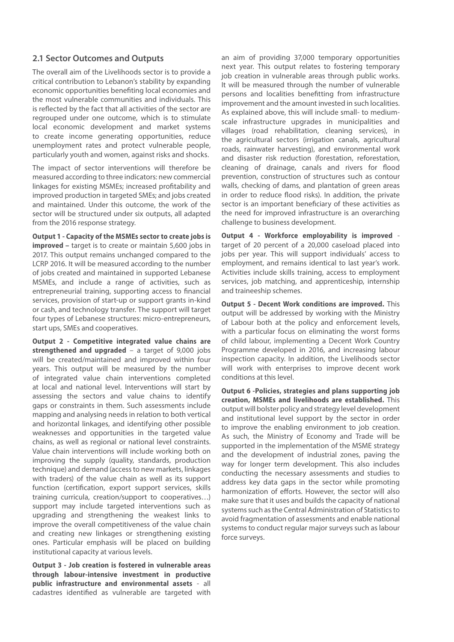### **2.1 Sector Outcomes and Outputs**

The overall aim of the Livelihoods sector is to provide a critical contribution to Lebanon's stability by expanding economic opportunities benefiting local economies and the most vulnerable communities and individuals. This is reflected by the fact that all activities of the sector are regrouped under one outcome, which is to stimulate local economic development and market systems to create income generating opportunities, reduce unemployment rates and protect vulnerable people, particularly youth and women, against risks and shocks.

The impact of sector interventions will therefore be measured according to three indicators: new commercial linkages for existing MSMEs; increased profitability and improved production in targeted SMEs; and jobs created and maintained. Under this outcome, the work of the sector will be structured under six outputs, all adapted from the 2016 response strategy.

**Output 1 - Capacity of the MSMEs sector to create jobs is improved –** target is to create or maintain 5,600 jobs in 2017. This output remains unchanged compared to the LCRP 2016. It will be measured according to the number of jobs created and maintained in supported Lebanese MSMEs, and include a range of activities, such as entrepreneurial training, supporting access to financial services, provision of start-up or support grants in-kind or cash, and technology transfer. The support will target four types of Lebanese structures: micro-entrepreneurs, start ups, SMEs and cooperatives.

**Output 2 - Competitive integrated value chains are strengthened and upgraded** – a target of 9,000 jobs will be created/maintained and improved within four years. This output will be measured by the number of integrated value chain interventions completed at local and national level. Interventions will start by assessing the sectors and value chains to identify gaps or constraints in them. Such assessments include mapping and analysing needs in relation to both vertical and horizontal linkages, and identifying other possible weaknesses and opportunities in the targeted value chains, as well as regional or national level constraints. Value chain interventions will include working both on improving the supply (quality, standards, production technique) and demand (access to new markets, linkages with traders) of the value chain as well as its support function (certification, export support services, skills training curricula, creation/support to cooperatives…) support may include targeted interventions such as upgrading and strengthening the weakest links to improve the overall competitiveness of the value chain and creating new linkages or strengthening existing ones. Particular emphasis will be placed on building institutional capacity at various levels.

**Output 3 - Job creation is fostered in vulnerable areas through labour-intensive investment in productive public infrastructure and environmental assets** - all cadastres identified as vulnerable are targeted with

an aim of providing 37,000 temporary opportunities next year. This output relates to fostering temporary job creation in vulnerable areas through public works. It will be measured through the number of vulnerable persons and localities benefitting from infrastructure improvement and the amount invested in such localities. As explained above, this will include small- to mediumscale infrastructure upgrades in municipalities and villages (road rehabilitation, cleaning services), in the agricultural sectors (irrigation canals, agricultural roads, rainwater harvesting), and environmental work and disaster risk reduction (forestation, reforestation, cleaning of drainage, canals and rivers for flood prevention, construction of structures such as contour walls, checking of dams, and plantation of green areas in order to reduce flood risks). In addition, the private sector is an important beneficiary of these activities as the need for improved infrastructure is an overarching challenge to business development.

**Output 4 - Workforce employability is improved** target of 20 percent of a 20,000 caseload placed into jobs per year. This will support individuals' access to employment, and remains identical to last year's work. Activities include skills training, access to employment services, job matching, and apprenticeship, internship and traineeship schemes.

**Output 5 - Decent Work conditions are improved.** This output will be addressed by working with the Ministry of Labour both at the policy and enforcement levels, with a particular focus on eliminating the worst forms of child labour, implementing a Decent Work Country Programme developed in 2016, and increasing labour inspection capacity. In addition, the Livelihoods sector will work with enterprises to improve decent work conditions at this level.

**Output 6 -Policies, strategies and plans supporting job creation, MSMEs and livelihoods are established.** This output will bolster policy and strategy level development and institutional level support by the sector in order to improve the enabling environment to job creation. As such, the Ministry of Economy and Trade will be supported in the implementation of the MSME strategy and the development of industrial zones, paving the way for longer term development. This also includes conducting the necessary assessments and studies to address key data gaps in the sector while promoting harmonization of efforts. However, the sector will also make sure that it uses and builds the capacity of national systems such as the Central Administration of Statistics to avoid fragmentation of assessments and enable national systems to conduct regular major surveys such as labour force surveys.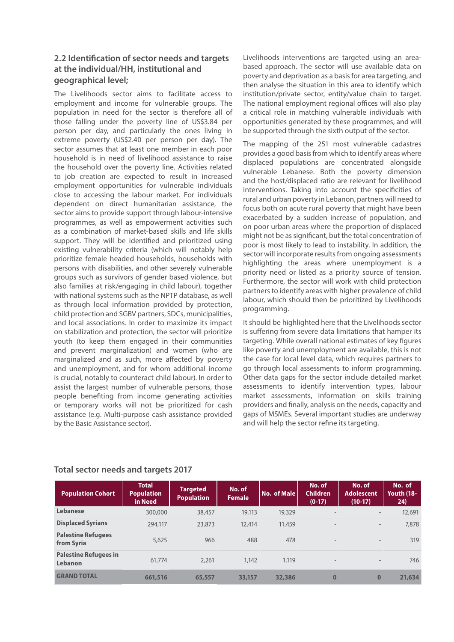### **2.2 Identification of sector needs and targets at the individual/HH, institutional and geographical level;**

The Livelihoods sector aims to facilitate access to employment and income for vulnerable groups. The population in need for the sector is therefore all of those falling under the poverty line of US\$3.84 per person per day, and particularly the ones living in extreme poverty (US\$2.40 per person per day). The sector assumes that at least one member in each poor household is in need of livelihood assistance to raise the household over the poverty line. Activities related to job creation are expected to result in increased employment opportunities for vulnerable individuals close to accessing the labour market. For individuals dependent on direct humanitarian assistance, the sector aims to provide support through labour-intensive programmes, as well as empowerment activities such as a combination of market-based skills and life skills support. They will be identified and prioritized using existing vulnerability criteria (which will notably help prioritize female headed households, households with persons with disabilities, and other severely vulnerable groups such as survivors of gender based violence, but also families at risk/engaging in child labour), together with national systems such as the NPTP database, as well as through local information provided by protection, child protection and SGBV partners, SDCs, municipalities, and local associations. In order to maximize its impact on stabilization and protection, the sector will prioritize youth (to keep them engaged in their communities and prevent marginalization) and women (who are marginalized and as such, more affected by poverty and unemployment, and for whom additional income is crucial, notably to counteract child labour). In order to assist the largest number of vulnerable persons, those people benefiting from income generating activities or temporary works will not be prioritized for cash assistance (e.g. Multi-purpose cash assistance provided by the Basic Assistance sector).

Livelihoods interventions are targeted using an areabased approach. The sector will use available data on poverty and deprivation as a basis for area targeting, and then analyse the situation in this area to identify which institution/private sector, entity/value chain to target. The national employment regional offices will also play a critical role in matching vulnerable individuals with opportunities generated by these programmes, and will be supported through the sixth output of the sector.

The mapping of the 251 most vulnerable cadastres provides a good basis from which to identify areas where displaced populations are concentrated alongside vulnerable Lebanese. Both the poverty dimension and the host/displaced ratio are relevant for livelihood interventions. Taking into account the specificities of rural and urban poverty in Lebanon, partners will need to focus both on acute rural poverty that might have been exacerbated by a sudden increase of population, and on poor urban areas where the proportion of displaced might not be as significant, but the total concentration of poor is most likely to lead to instability. In addition, the sector will incorporate results from ongoing assessments highlighting the areas where unemployment is a priority need or listed as a priority source of tension. Furthermore, the sector will work with child protection partners to identify areas with higher prevalence of child labour, which should then be prioritized by Livelihoods programming.

It should be highlighted here that the Livelihoods sector is suffering from severe data limitations that hamper its targeting. While overall national estimates of key figures like poverty and unemployment are available, this is not the case for local level data, which requires partners to go through local assessments to inform programming. Other data gaps for the sector include detailed market assessments to identify intervention types, labour market assessments, information on skills training providers and finally, analysis on the needs, capacity and gaps of MSMEs. Several important studies are underway and will help the sector refine its targeting.

| <b>Population Cohort</b>                | <b>Total</b><br><b>Population</b><br>in Need | <b>Targeted</b><br><b>Population</b> | No. of<br><b>Female</b> | No. of Male | No. of<br><b>Children</b><br>$(0-17)$ | No. of<br><b>Adolescent</b><br>$(10-17)$ | No. of<br><b>Youth (18-</b><br>24) |
|-----------------------------------------|----------------------------------------------|--------------------------------------|-------------------------|-------------|---------------------------------------|------------------------------------------|------------------------------------|
| Lebanese                                | 300,000                                      | 38,457                               | 19,113                  | 19,329      | $\overline{\phantom{0}}$              | $\overline{\phantom{0}}$                 | 12,691                             |
| <b>Displaced Syrians</b>                | 294,117                                      | 23,873                               | 12,414                  | 11,459      | $\overline{\phantom{a}}$              | $\overline{\phantom{a}}$                 |                                    |
| <b>Palestine Refugees</b><br>from Syria | 5,625                                        | 966                                  | 488                     | 478         | $\overline{\phantom{0}}$              | $\overline{\phantom{a}}$                 | 319                                |
| <b>Palestine Refugees in</b><br>Lebanon | 61,774                                       | 2.261                                | 1,142                   | 1,119       | $\overline{\phantom{0}}$              | $\overline{\phantom{a}}$                 | 746                                |
| <b>GRAND TOTAL</b>                      | 661,516                                      | 65,557                               | 33,157                  | 32,386      | $\bf{0}$                              | $\bf{0}$                                 | 21,634                             |

### **Total sector needs and targets 2017**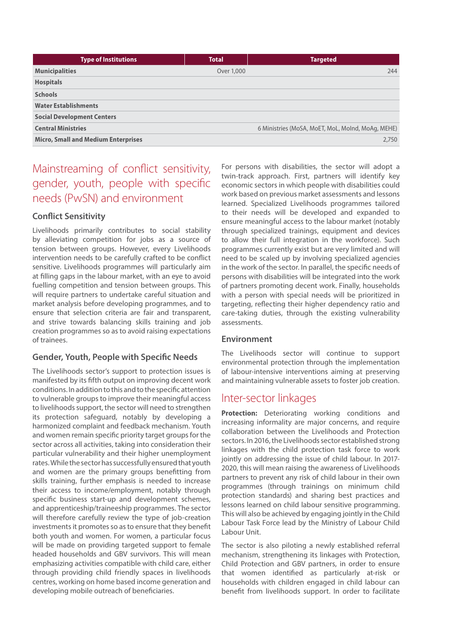| <b>Type of Institutions</b>                | <b>Total</b> | <b>Targeted</b>                                   |
|--------------------------------------------|--------------|---------------------------------------------------|
| <b>Municipalities</b>                      | Over 1,000   | 244                                               |
| <b>Hospitals</b>                           |              |                                                   |
| <b>Schools</b>                             |              |                                                   |
| <b>Water Establishments</b>                |              |                                                   |
| <b>Social Development Centers</b>          |              |                                                   |
| <b>Central Ministries</b>                  |              | 6 Ministries (MoSA, MoET, MoL, MoInd, MoAg, MEHE) |
| <b>Micro, Small and Medium Enterprises</b> |              | 2,750                                             |

# Mainstreaming of conflict sensitivity, gender, youth, people with specific needs (PwSN) and environment

### **Conflict Sensitivity**

Livelihoods primarily contributes to social stability by alleviating competition for jobs as a source of tension between groups. However, every Livelihoods intervention needs to be carefully crafted to be conflict sensitive. Livelihoods programmes will particularly aim at filling gaps in the labour market, with an eye to avoid fuelling competition and tension between groups. This will require partners to undertake careful situation and market analysis before developing programmes, and to ensure that selection criteria are fair and transparent, and strive towards balancing skills training and job creation programmes so as to avoid raising expectations of trainees.

### **Gender, Youth, People with Specific Needs**

The Livelihoods sector's support to protection issues is manifested by its fifth output on improving decent work conditions. In addition to this and to the specific attention to vulnerable groups to improve their meaningful access to livelihoods support, the sector will need to strengthen its protection safeguard, notably by developing a harmonized complaint and feedback mechanism. Youth and women remain specific priority target groups for the sector across all activities, taking into consideration their particular vulnerability and their higher unemployment rates. While the sector has successfully ensured that youth and women are the primary groups benefitting from skills training, further emphasis is needed to increase their access to income/employment, notably through specific business start-up and development schemes, and apprenticeship/traineeship programmes. The sector will therefore carefully review the type of job-creation investments it promotes so as to ensure that they benefit both youth and women. For women, a particular focus will be made on providing targeted support to female headed households and GBV survivors. This will mean emphasizing activities compatible with child care, either through providing child friendly spaces in livelihoods centres, working on home based income generation and developing mobile outreach of beneficiaries.

For persons with disabilities, the sector will adopt a twin-track approach. First, partners will identify key economic sectors in which people with disabilities could work based on previous market assessments and lessons learned. Specialized Livelihoods programmes tailored to their needs will be developed and expanded to ensure meaningful access to the labour market (notably through specialized trainings, equipment and devices to allow their full integration in the workforce). Such programmes currently exist but are very limited and will need to be scaled up by involving specialized agencies in the work of the sector. In parallel, the specific needs of persons with disabilities will be integrated into the work of partners promoting decent work. Finally, households with a person with special needs will be prioritized in targeting, reflecting their higher dependency ratio and care-taking duties, through the existing vulnerability assessments.

#### **Environment**

The Livelihoods sector will continue to support environmental protection through the implementation of labour-intensive interventions aiming at preserving and maintaining vulnerable assets to foster job creation.

## Inter-sector linkages

**Protection:** Deteriorating working conditions and increasing informality are major concerns, and require collaboration between the Livelihoods and Protection sectors. In 2016, the Livelihoods sector established strong linkages with the child protection task force to work jointly on addressing the issue of child labour. In 2017- 2020, this will mean raising the awareness of Livelihoods partners to prevent any risk of child labour in their own programmes (through trainings on minimum child protection standards) and sharing best practices and lessons learned on child labour sensitive programming. This will also be achieved by engaging jointly in the Child Labour Task Force lead by the Ministry of Labour Child Labour Unit.

The sector is also piloting a newly established referral mechanism, strengthening its linkages with Protection, Child Protection and GBV partners, in order to ensure that women identified as particularly at-risk or households with children engaged in child labour can benefit from livelihoods support. In order to facilitate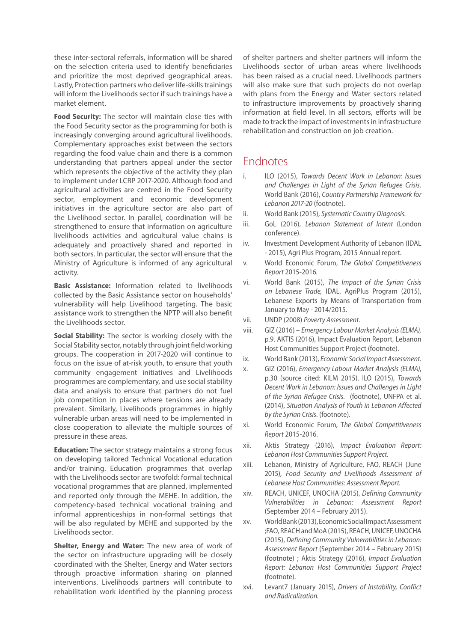these inter-sectoral referrals, information will be shared on the selection criteria used to identify beneficiaries and prioritize the most deprived geographical areas. Lastly, Protection partners who deliver life-skills trainings will inform the Livelihoods sector if such trainings have a market element.

**Food Security:** The sector will maintain close ties with the Food Security sector as the programming for both is increasingly converging around agricultural livelihoods. Complementary approaches exist between the sectors regarding the food value chain and there is a common understanding that partners appeal under the sector which represents the objective of the activity they plan to implement under LCRP 2017-2020. Although food and agricultural activities are centred in the Food Security sector, employment and economic development initiatives in the agriculture sector are also part of the Livelihood sector. In parallel, coordination will be strengthened to ensure that information on agriculture livelihoods activities and agricultural value chains is adequately and proactively shared and reported in both sectors. In particular, the sector will ensure that the Ministry of Agriculture is informed of any agricultural activity.

**Basic Assistance:** Information related to livelihoods collected by the Basic Assistance sector on households' vulnerability will help Livelihood targeting. The basic assistance work to strengthen the NPTP will also benefit the Livelihoods sector.

**Social Stability:** The sector is working closely with the Social Stability sector, notably through joint field working groups. The cooperation in 2017-2020 will continue to focus on the issue of at-risk youth, to ensure that youth community engagement initiatives and Livelihoods programmes are complementary, and use social stability data and analysis to ensure that partners do not fuel job competition in places where tensions are already prevalent. Similarly, Livelihoods programmes in highly vulnerable urban areas will need to be implemented in close cooperation to alleviate the multiple sources of pressure in these areas.

**Education:** The sector strategy maintains a strong focus on developing tailored Technical Vocational education and/or training. Education programmes that overlap with the Livelihoods sector are twofold: formal technical vocational programmes that are planned, implemented and reported only through the MEHE. In addition, the competency-based technical vocational training and informal apprenticeships in non-formal settings that will be also regulated by MEHE and supported by the Livelihoods sector.

**Shelter, Energy and Water:** The new area of work of the sector on infrastructure upgrading will be closely coordinated with the Shelter, Energy and Water sectors through proactive information sharing on planned interventions. Livelihoods partners will contribute to rehabilitation work identified by the planning process

of shelter partners and shelter partners will inform the Livelihoods sector of urban areas where livelihoods has been raised as a crucial need. Livelihoods partners will also make sure that such projects do not overlap with plans from the Energy and Water sectors related to infrastructure improvements by proactively sharing information at field level. In all sectors, efforts will be made to track the impact of investments in infrastructure rehabilitation and construction on job creation.

# Endnotes

- i. ILO (2015), *Towards Decent Work in Lebanon: Issues and Challenges in Light of the Syrian Refugee Crisis.* World Bank (2016), *Country Partnership Framework for Lebanon 2017-20* (footnote).
- ii. World Bank (2015), *Systematic Country Diagnosis.*
- iii. GoL (2016), *Lebanon Statement of Intent* (London conference).
- iv. Investment Development Authority of Lebanon (IDAL - 2015), Agri Plus Program, 2015 Annual report.
- v. World Economic Forum, T*he Global Competitiveness Report* 2015-2016*.*
- vi. World Bank (2015), *The Impact of the Syrian Crisis on Lebanese Trade,* IDAL, AgriPlus Program (2015), Lebanese Exports by Means of Transportation from January to May - 2014/2015.
- vii. UNDP (2008) *Poverty Assessment*.
- viii. GIZ (2016) *Emergency Labour Market Analysis (ELMA),* p.9. AKTIS (2016), Impact Evaluation Report, Lebanon Host Communities Support Project (footnote).
- ix. World Bank (2013), *Economic Social Impact Assessment*.
- x. GIZ (2016), *Emergency Labour Market Analysis (ELMA)*, p.30 (source cited: KILM 2015). ILO (2015), *Towards Decent Work in Lebanon: Issues and Challenges in Light of the Syrian Refugee Crisis.* (footnote), UNFPA et al. (2014), *Situation Analysis of Youth in Lebanon Affected by the Syrian Crisis.* (footnote).
- xi. World Economic Forum, T*he Global Competitiveness Report* 2015-2016.
- xii. Aktis Strategy (2016), *Impact Evaluation Report: Lebanon Host Communities Support Project.*
- xiii. Lebanon, Ministry of Agriculture, FAO, REACH (June 2015), *Food Security and Livelihoods Assessment of Lebanese Host Communities: Assessment Report.*
- xiv. REACH, UNICEF, UNOCHA (2015), *Defining Community Vulnerabilities in Lebanon: Assessment Report* (September 2014 – February 2015).
- xv. World Bank (2013), Economic Social Impact Assessment ;FAO, REACH and MoA (2015), REACH, UNICEF, UNOCHA (2015), *Defining Community Vulnerabilities in Lebanon: Assessment Report* (September 2014 – February 2015) (footnote) ; Aktis Strategy (2016), *Impact Evaluation Report: Lebanon Host Communities Support Project* (footnote).
- xvi. Levant7 (January 2015), *Drivers of Instability, Conflict and Radicalization.*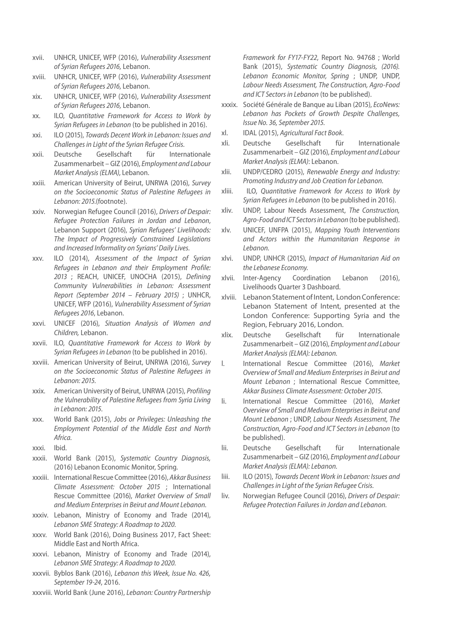- xvii. UNHCR, UNICEF, WFP (2016), *Vulnerability Assessment of Syrian Refugees 2016,* Lebanon.
- xviii. UNHCR, UNICEF, WFP (2016), *Vulnerability Assessment of Syrian Refugees 2016,* Lebanon.
- xix. UNHCR, UNICEF, WFP (2016), *Vulnerability Assessment of Syrian Refugees 2016,* Lebanon.
- xx. ILO, *Quantitative Framework for Access to Work by Syrian Refugees in Lebanon* (to be published in 2016).
- xxi. ILO (2015), *Towards Decent Work in Lebanon: Issues and Challenges in Light of the Syrian Refugee Crisis.*
- xxii. Deutsche Gesellschaft für Internationale Zusammenarbeit – GIZ (2016), *Employment and Labour Market Analysis (ELMA)*, Lebanon.
- xxiii. American University of Beirut, UNRWA (2016), *Survey on the Socioeconomic Status of Palestine Refugees in Lebanon: 2015.*(footnote).
- xxiv. Norwegian Refugee Council (2016), *Drivers of Despair: Refugee Protection Failures in Jordan and Lebanon*, Lebanon Support (2016), *Syrian Refugees' Livelihoods: The Impact of Progressively Constrained Legislations and Increased Informality on Syrians' Daily Lives.*
- xxv. ILO (2014), *Assessment of the Impact of Syrian Refugees in Lebanon and their Employment Profile: 2013* ; REACH, UNICEF, UNOCHA (2015), *Defining Community Vulnerabilities in Lebanon: Assessment Report (September 2014 – February 2015)* ; UNHCR, UNICEF, WFP (2016), *Vulnerability Assessment of Syrian Refugees 2016*, Lebanon.
- xxvi. UNICEF (2016), *Situation Analysis of Women and Children,* Lebanon.
- xxvii. ILO, *Quantitative Framework for Access to Work by Syrian Refugees in Lebanon* (to be published in 2016).
- xxviii. American University of Beirut, UNRWA (2016), *Survey on the Socioeconomic Status of Palestine Refugees in Lebanon: 2015.*
- xxix. American University of Beirut, UNRWA (2015), *Profiling the Vulnerability of Palestine Refugees from Syria Living in Lebanon: 2015.*
- xxx. World Bank (2015), *Jobs or Privileges: Unleashing the Employment Potential of the Middle East and North Africa.*
- xxxi. Ibid.
- xxxii. World Bank (2015), *Systematic Country Diagnosis,* (2016) Lebanon Economic Monitor, Spring.
- xxxiii. International Rescue Committee (2016), *Akkar Business Climate Assessment: October 2015* ; International Rescue Committee (2016), *Market Overview of Small and Medium Enterprises in Beirut and Mount Lebanon.*
- xxxiv. Lebanon, Ministry of Economy and Trade (2014), *Lebanon SME Strategy: A Roadmap to 2020.*
- xxxv. World Bank (2016), Doing Business 2017, Fact Sheet: Middle East and North Africa.
- xxxvi. Lebanon, Ministry of Economy and Trade (2014), *Lebanon SME Strategy: A Roadmap to 2020.*
- xxxvii. Byblos Bank (2016), *Lebanon this Week, Issue No. 426, September 19-24*, 2016.
- xxxviii. World Bank (June 2016), *Lebanon: Country Partnership*

*Framework for FY17-FY22*, Report No. 94768 ; World Bank (2015), *Systematic Country Diagnosis, (2016). Lebanon Economic Monitor, Spring* ; UNDP, UNDP, *Labour Needs Assessment, The Construction, Agro-Food and ICT Sectors in Lebanon* (to be published).

- xxxix. Société Générale de Banque au Liban (2015), *EcoNews: Lebanon has Pockets of Growth Despite Challenges, Issue No. 36, September 2015.*
- xl. IDAL (2015), *Agricultural Fact Book*.
- xli. Deutsche Gesellschaft für Internationale Zusammenarbeit – GIZ (2016), *Employment and Labour Market Analysis (ELMA)*: Lebanon.
- xlii. UNDP/CEDRO (2015), *Renewable Energy and Industry: Promoting Industry and Job Creation for Lebanon.*
- xliii. ILO, *Quantitative Framework for Access to Work by Syrian Refugees in Lebanon* (to be published in 2016).
- xliv. UNDP, Labour Needs Assessment, *The Construction, Agro-Food and ICT Sectors in Lebanon* (to be published).
- xlv. UNICEF, UNFPA (2015), *Mapping Youth Interventions and Actors within the Humanitarian Response in Lebanon.*
- xlvi. UNDP, UNHCR (2015), *Impact of Humanitarian Aid on the Lebanese Economy.*
- xlvii. Inter-Agency Coordination Lebanon (2016), Livelihoods Quarter 3 Dashboard.
- xlviii. Lebanon Statement of Intent, London Conference: Lebanon Statement of Intent, presented at the London Conference: Supporting Syria and the Region, February 2016, London.
- xlix. Deutsche Gesellschaft für Internationale Zusammenarbeit – GIZ (2016), *Employment and Labour Market Analysis (ELMA): Lebanon.*
- l. International Rescue Committee (2016), *Market Overview of Small and Medium Enterprises in Beirut and Mount Lebanon* ; International Rescue Committee, *Akkar Business Climate Assessment: October 2015.*
- li. International Rescue Committee (2016), *Market Overview of Small and Medium Enterprises in Beirut and Mount Lebanon* ; UNDP, *Labour Needs Assessment, The Construction, Agro-Food and ICT Sectors in Lebanon* (to be published).
- lii. Deutsche Gesellschaft für Internationale Zusammenarbeit – GIZ (2016), *Employment and Labour Market Analysis (ELMA): Lebanon.*
- liii. ILO (2015), *Towards Decent Work in Lebanon: Issues and Challenges in Light of the Syrian Refugee Crisis.*
- liv. Norwegian Refugee Council (2016), *Drivers of Despair: Refugee Protection Failures in Jordan and Lebanon.*